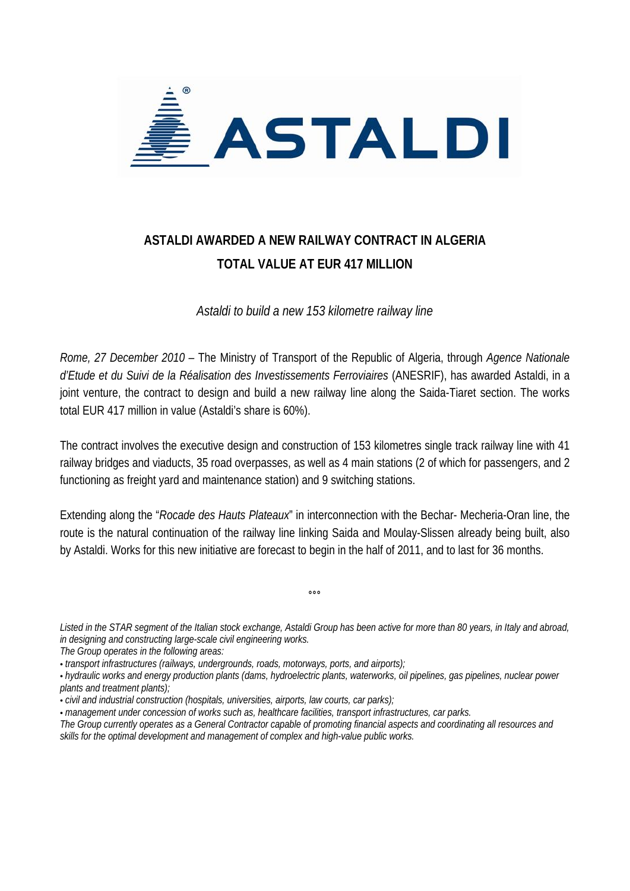

## **ASTALDI AWARDED A NEW RAILWAY CONTRACT IN ALGERIA TOTAL VALUE AT EUR 417 MILLION**

*Astaldi to build a new 153 kilometre railway line* 

*Rome, 27 December 2010 –* The Ministry of Transport of the Republic of Algeria, through *Agence Nationale d'Etude et du Suivi de la Réalisation des Investissements Ferroviaires* (ANESRIF), has awarded Astaldi, in a joint venture, the contract to design and build a new railway line along the Saida-Tiaret section. The works total EUR 417 million in value (Astaldi's share is 60%).

The contract involves the executive design and construction of 153 kilometres single track railway line with 41 railway bridges and viaducts, 35 road overpasses, as well as 4 main stations (2 of which for passengers, and 2 functioning as freight yard and maintenance station) and 9 switching stations.

Extending along the "*Rocade des Hauts Plateaux*" in interconnection with the Bechar- Mecheria-Oran line, the route is the natural continuation of the railway line linking Saida and Moulay-Slissen already being built, also by Astaldi. Works for this new initiative are forecast to begin in the half of 2011, and to last for 36 months.

*Listed in the STAR segment of the Italian stock exchange, Astaldi Group has been active for more than 80 years, in Italy and abroad, in designing and constructing large-scale civil engineering works.* 

 $\overline{\phantom{a}}$ 

*The Group operates in the following areas:* 

- *hydraulic works and energy production plants (dams, hydroelectric plants, waterworks, oil pipelines, gas pipelines, nuclear power plants and treatment plants);*
- *civil and industrial construction (hospitals, universities, airports, law courts, car parks);*
- *management under concession of works such as, healthcare facilities, transport infrastructures, car parks.*

<sup>•</sup> *transport infrastructures (railways, undergrounds, roads, motorways, ports, and airports);* 

*The Group currently operates as a General Contractor capable of promoting financial aspects and coordinating all resources and skills for the optimal development and management of complex and high-value public works.*